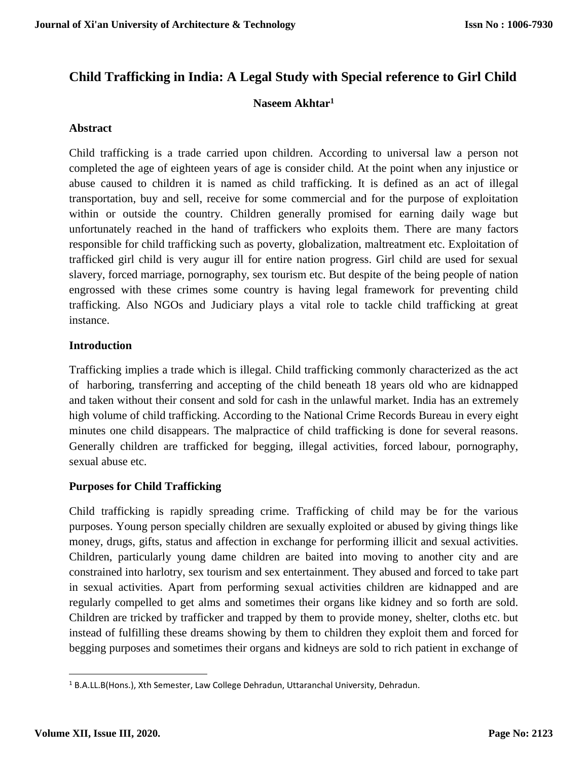# **Child Trafficking in India: A Legal Study with Special reference to Girl Child**

# **Naseem Akhtar<sup>1</sup>**

# **Abstract**

Child trafficking is a trade carried upon children. According to universal law a person not completed the age of eighteen years of age is consider child. At the point when any injustice or abuse caused to children it is named as child trafficking. It is defined as an act of illegal transportation, buy and sell, receive for some commercial and for the purpose of exploitation within or outside the country. Children generally promised for earning daily wage but unfortunately reached in the hand of traffickers who exploits them. There are many factors responsible for child trafficking such as poverty, globalization, maltreatment etc. Exploitation of trafficked girl child is very augur ill for entire nation progress. Girl child are used for sexual slavery, forced marriage, pornography, sex tourism etc. But despite of the being people of nation engrossed with these crimes some country is having legal framework for preventing child trafficking. Also NGOs and Judiciary plays a vital role to tackle child trafficking at great instance.

# **Introduction**

Trafficking implies a trade which is illegal. Child trafficking commonly characterized as the act of harboring, transferring and accepting of the child beneath 18 years old who are kidnapped and taken without their consent and sold for cash in the unlawful market. India has an extremely high volume of child trafficking. According to the [National Crime Records Bureau](https://en.wikipedia.org/wiki/National_Crime_Records_Bureau) in every eight minutes one child disappears. The malpractice of child trafficking is done for several reasons. Generally children are trafficked for begging, illegal activities, forced labour, pornography, sexual abuse etc.

# **Purposes for Child Trafficking**

Child trafficking is rapidly spreading crime. Trafficking of child may be for the various purposes. Young person specially children are sexually exploited or abused by giving things like money, drugs, gifts, status and affection in exchange for performing illicit and sexual activities. Children, particularly young dame children are baited into moving to another city and are constrained into harlotry, sex tourism and sex entertainment. They abused and forced to take part in sexual activities. Apart from performing sexual activities children are kidnapped and are regularly compelled to get alms and sometimes their organs like kidney and so forth are sold. Children are tricked by trafficker and trapped by them to provide money, shelter, cloths etc. but instead of fulfilling these dreams showing by them to children they exploit them and forced for begging purposes and sometimes their organs and kidneys are sold to rich patient in exchange of

<sup>&</sup>lt;sup>1</sup> B.A.LL.B(Hons.), Xth Semester, Law College Dehradun, Uttaranchal University, Dehradun.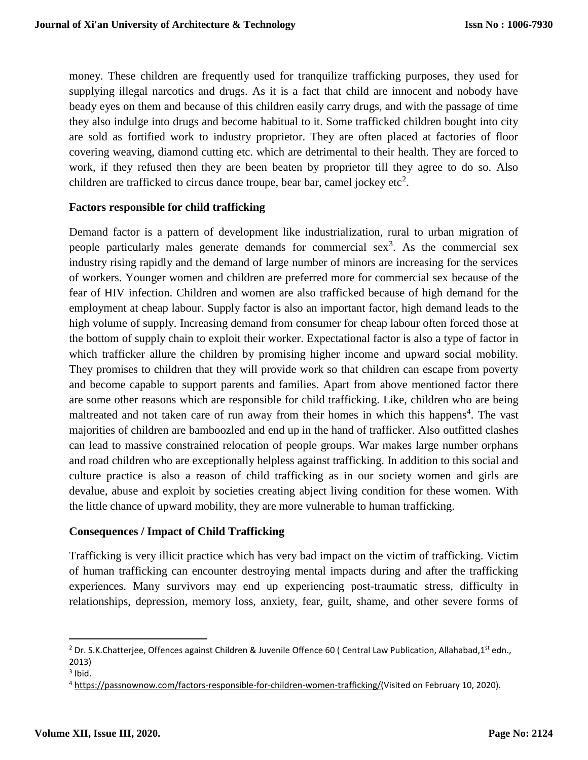money. These children are frequently used for tranquilize trafficking purposes, they used for supplying illegal narcotics and drugs. As it is a fact that child are innocent and nobody have beady eyes on them and because of this children easily carry drugs, and with the passage of time they also indulge into drugs and become habitual to it. Some trafficked children bought into city are sold as fortified work to industry proprietor. They are often placed at factories of floor covering weaving, diamond cutting etc. which are detrimental to their health. They are forced to work, if they refused then they are been beaten by proprietor till they agree to do so. Also children are trafficked to circus dance troupe, bear bar, camel jockey etc<sup>2</sup>.

#### **Factors responsible for child trafficking**

Demand factor is a pattern of development like industrialization, rural to urban migration of people particularly males generate demands for commercial sex<sup>3</sup>. As the commercial sex industry rising rapidly and the demand of large number of minors are increasing for the services of workers. Younger women and children are preferred more for commercial sex because of the fear of HIV infection. Children and women are also trafficked because of high demand for the employment at cheap labour. Supply factor is also an important factor, high demand leads to the high volume of supply. Increasing demand from consumer for cheap labour often forced those at the bottom of supply chain to exploit their worker. Expectational factor is also a type of factor in which trafficker allure the children by promising higher income and upward social mobility. They promises to children that they will provide work so that children can escape from poverty and become capable to support parents and families. Apart from above mentioned factor there are some other reasons which are responsible for child trafficking. Like, children who are being maltreated and not taken care of run away from their homes in which this happens<sup>4</sup>. The vast majorities of children are bamboozled and end up in the hand of trafficker. Also outfitted clashes can lead to massive constrained relocation of people groups. War makes large number orphans and road children who are exceptionally helpless against trafficking. In addition to this social and culture practice is also a reason of child trafficking as in our society women and girls are devalue, abuse and exploit by societies creating abject living condition for these women. With the little chance of upward mobility, they are more vulnerable to human trafficking.

#### **Consequences / Impact of Child Trafficking**

Trafficking is very illicit practice which has very bad impact on the victim of trafficking. Victim of human trafficking can encounter destroying mental impacts during and after the trafficking experiences. Many survivors may end up experiencing post-traumatic stress, difficulty in relationships, depression, memory loss, anxiety, fear, guilt, shame, and other severe forms of

 $\overline{a}$ 

<sup>&</sup>lt;sup>2</sup> Dr. S.K.Chatterjee, Offences against Children & Juvenile Offence 60 ( Central Law Publication, Allahabad,1<sup>st</sup> edn., 2013)

 $3$  Ibid.

<sup>4</sup> [https://passnownow.com/factors-responsible-for-children-women-trafficking/\(](https://passnownow.com/factors-responsible-for-children-women-trafficking/)Visited on February 10, 2020).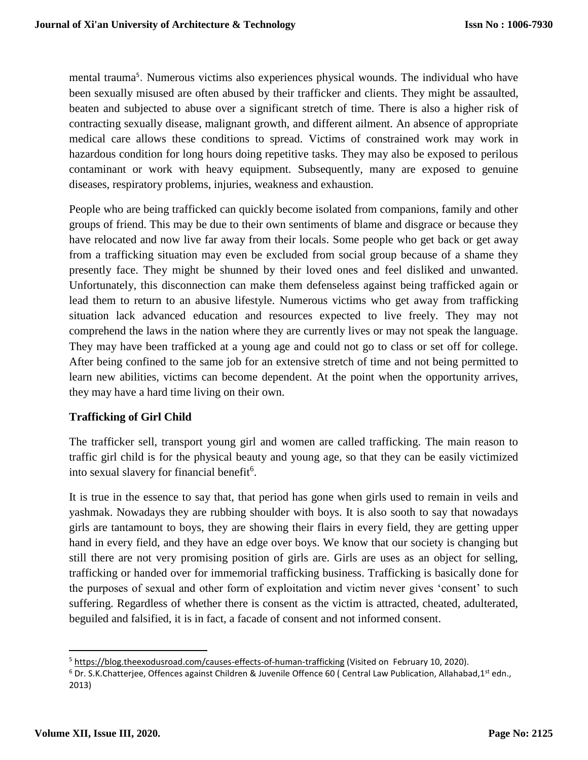mental trauma<sup>5</sup>. Numerous victims also experiences physical wounds. The individual who have been sexually misused are often abused by their trafficker and clients. They might be assaulted, beaten and subjected to abuse over a significant stretch of time. There is also a higher risk of contracting sexually disease, malignant growth, and different ailment. An absence of appropriate medical care allows these conditions to spread. Victims of constrained work may work in hazardous condition for long hours doing repetitive tasks. They may also be exposed to perilous contaminant or work with heavy equipment. Subsequently, many are exposed to genuine diseases, respiratory problems, injuries, weakness and exhaustion.

People who are being trafficked can quickly become isolated from companions, family and other groups of friend. This may be due to their own sentiments of blame and disgrace or because they have relocated and now live far away from their locals. Some people who get back or get away from a trafficking situation may even be excluded from social group because of a shame they presently face. They might be shunned by their loved ones and feel disliked and unwanted. Unfortunately, this disconnection can make them defenseless against being trafficked again or lead them to return to an abusive lifestyle. Numerous victims who get away from trafficking situation lack advanced education and resources expected to live freely. They may not comprehend the laws in the nation where they are currently lives or may not speak the language. They may have been trafficked at a young age and could not go to class or set off for college. After being confined to the same job for an extensive stretch of time and not being permitted to learn new abilities, victims can become dependent. At the point when the opportunity arrives, they may have a hard time living on their own.

# **Trafficking of Girl Child**

The trafficker sell, transport young girl and women are called trafficking. The main reason to traffic girl child is for the physical beauty and young age, so that they can be easily victimized into sexual slavery for financial benefit<sup>6</sup>.

It is true in the essence to say that, that period has gone when girls used to remain in veils and yashmak. Nowadays they are rubbing shoulder with boys. It is also sooth to say that nowadays girls are tantamount to boys, they are showing their flairs in every field, they are getting upper hand in every field, and they have an edge over boys. We know that our society is changing but still there are not very promising position of girls are. Girls are uses as an object for selling, trafficking or handed over for immemorial trafficking business. Trafficking is basically done for the purposes of sexual and other form of exploitation and victim never gives 'consent' to such suffering. Regardless of whether there is consent as the victim is attracted, cheated, adulterated, beguiled and falsified, it is in fact, a facade of consent and not informed consent.

<sup>5</sup> <https://blog.theexodusroad.com/causes-effects-of-human-trafficking> (Visited on February 10, 2020).

 $6$  Dr. S.K.Chatterjee, Offences against Children & Juvenile Offence 60 (Central Law Publication, Allahabad,1st edn., 2013)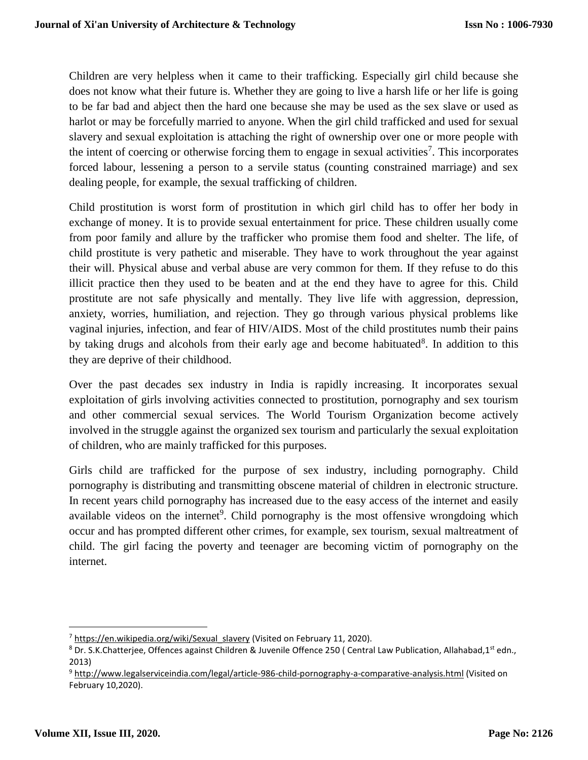Children are very helpless when it came to their trafficking. Especially girl child because she does not know what their future is. Whether they are going to live a harsh life or her life is going to be far bad and abject then the hard one because she may be used as the sex slave or used as harlot or may be forcefully married to anyone. When the girl child trafficked and used for sexual slavery and sexual exploitation is attaching the right of ownership over one or more people with the intent of coercing or otherwise forcing them to engage in sexual activities<sup>7</sup>. This incorporates forced labour, lessening a person to a servile status (counting constrained marriage) and sex dealing people, for example, the sexual trafficking of children.

Child prostitution is worst form of prostitution in which girl child has to offer her body in exchange of money. It is to provide sexual entertainment for price. These children usually come from poor family and allure by the trafficker who promise them food and shelter. The life, of child prostitute is very pathetic and miserable. They have to work throughout the year against their will. Physical abuse and verbal abuse are very common for them. If they refuse to do this illicit practice then they used to be beaten and at the end they have to agree for this. Child prostitute are not safe physically and mentally. They live life with aggression, depression, anxiety, worries, humiliation, and rejection. They go through various physical problems like vaginal injuries, infection, and fear of HIV/AIDS. Most of the child prostitutes numb their pains by taking drugs and alcohols from their early age and become habituated<sup>8</sup>. In addition to this they are deprive of their childhood.

Over the past decades sex industry in India is rapidly increasing. It incorporates sexual exploitation of girls involving activities connected to prostitution, pornography and sex tourism and other commercial sexual services. The World Tourism Organization become actively involved in the struggle against the organized sex tourism and particularly the sexual exploitation of children, who are mainly trafficked for this purposes.

Girls child are trafficked for the purpose of sex industry, including pornography. Child pornography is distributing and transmitting obscene material of children in electronic structure. In recent years child pornography has increased due to the easy access of the internet and easily available videos on the internet<sup>9</sup>. Child pornography is the most offensive wrongdoing which occur and has prompted different other crimes, for example, sex tourism, sexual maltreatment of child. The girl facing the poverty and teenager are becoming victim of pornography on the internet.

l

<sup>&</sup>lt;sup>7</sup> [https://en.wikipedia.org/wiki/Sexual\\_slavery](https://en.wikipedia.org/wiki/Sexual_slavery) (Visited on February 11, 2020).

<sup>&</sup>lt;sup>8</sup> Dr. S.K.Chatterjee, Offences against Children & Juvenile Offence 250 ( Central Law Publication, Allahabad,1<sup>st</sup> edn., 2013)

<sup>9</sup> <http://www.legalserviceindia.com/legal/article-986-child-pornography-a-comparative-analysis.html> (Visited on February 10,2020).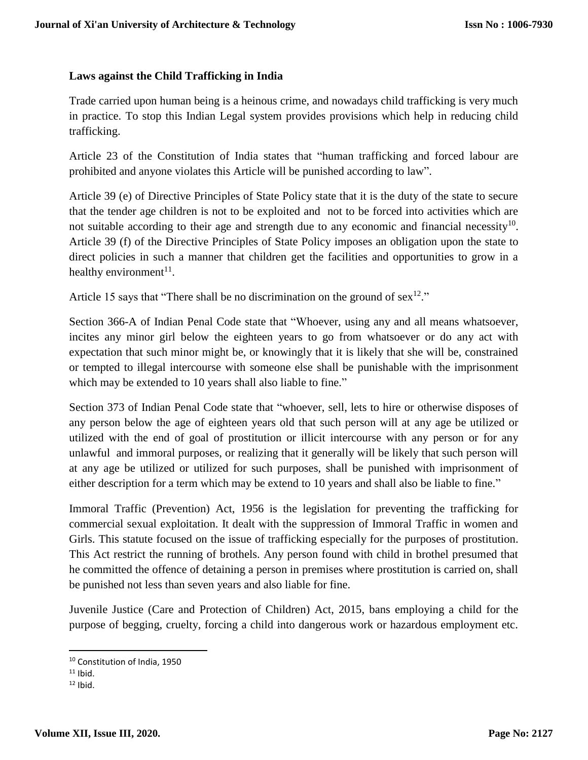### **Laws against the Child Trafficking in India**

Trade carried upon human being is a heinous crime, and nowadays child trafficking is very much in practice. To stop this Indian Legal system provides provisions which help in reducing child trafficking.

Article 23 of the Constitution of India states that "human trafficking and forced labour are prohibited and anyone violates this Article will be punished according to law".

Article 39 (e) of Directive Principles of State Policy state that it is the duty of the state to secure that the tender age children is not to be exploited and not to be forced into activities which are not suitable according to their age and strength due to any economic and financial necessity<sup>10</sup>. Article 39 (f) of the Directive Principles of State Policy imposes an obligation upon the state to direct policies in such a manner that children get the facilities and opportunities to grow in a healthy environment<sup>11</sup>.

Article 15 says that "There shall be no discrimination on the ground of sex<sup>12</sup>."

Section 366-A of Indian Penal Code state that "Whoever, using any and all means whatsoever, incites any minor girl below the eighteen years to go from whatsoever or do any act with expectation that such minor might be, or knowingly that it is likely that she will be, constrained or tempted to illegal intercourse with someone else shall be punishable with the imprisonment which may be extended to 10 years shall also liable to fine."

Section 373 of Indian Penal Code state that "whoever, sell, lets to hire or otherwise disposes of any person below the age of eighteen years old that such person will at any age be utilized or utilized with the end of goal of prostitution or illicit intercourse with any person or for any unlawful and immoral purposes, or realizing that it generally will be likely that such person will at any age be utilized or utilized for such purposes, shall be punished with imprisonment of either description for a term which may be extend to 10 years and shall also be liable to fine."

Immoral Traffic (Prevention) Act, 1956 is the legislation for preventing the trafficking for commercial sexual exploitation. It dealt with the suppression of Immoral Traffic in women and Girls. This statute focused on the issue of trafficking especially for the purposes of prostitution. This Act restrict the running of brothels. Any person found with child in brothel presumed that he committed the offence of detaining a person in premises where prostitution is carried on, shall be punished not less than seven years and also liable for fine.

Juvenile Justice (Care and Protection of Children) Act, 2015, bans employing a child for the purpose of begging, cruelty, forcing a child into dangerous work or hazardous employment etc.

<sup>10</sup> Constitution of India, 1950

 $11$  Ibid.

 $12$  Ibid.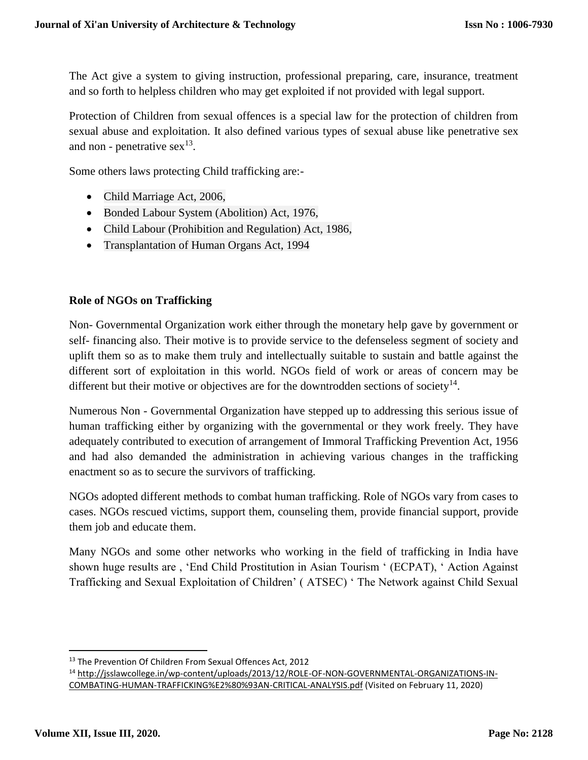The Act give a system to giving instruction, professional preparing, care, insurance, treatment and so forth to helpless children who may get exploited if not provided with legal support.

Protection of Children from sexual offences is a special law for the protection of children from sexual abuse and exploitation. It also defined various types of sexual abuse like penetrative sex and non - penetrative  $sex^{13}$ .

Some others laws protecting Child trafficking are:-

- Child Marriage Act, 2006,
- Bonded Labour System (Abolition) Act, 1976,
- Child Labour (Prohibition and Regulation) Act, 1986,
- Transplantation of Human Organs Act, 1994

# **Role of NGOs on Trafficking**

Non- Governmental Organization work either through the monetary help gave by government or self- financing also. Their motive is to provide service to the defenseless segment of society and uplift them so as to make them truly and intellectually suitable to sustain and battle against the different sort of exploitation in this world. NGOs field of work or areas of concern may be different but their motive or objectives are for the downtrodden sections of society $14$ .

Numerous Non - Governmental Organization have stepped up to addressing this serious issue of human trafficking either by organizing with the governmental or they work freely. They have adequately contributed to execution of arrangement of Immoral Trafficking Prevention Act, 1956 and had also demanded the administration in achieving various changes in the trafficking enactment so as to secure the survivors of trafficking.

NGOs adopted different methods to combat human trafficking. Role of NGOs vary from cases to cases. NGOs rescued victims, support them, counseling them, provide financial support, provide them job and educate them.

Many NGOs and some other networks who working in the field of trafficking in India have shown huge results are , 'End Child Prostitution in Asian Tourism ' (ECPAT), ' Action Against Trafficking and Sexual Exploitation of Children' ( ATSEC) ' The Network against Child Sexual

<sup>&</sup>lt;sup>13</sup> The Prevention Of Children From Sexual Offences Act, 2012

<sup>14</sup> [http://jsslawcollege.in/wp-content/uploads/2013/12/ROLE-OF-NON-GOVERNMENTAL-ORGANIZATIONS-IN-](http://jsslawcollege.in/wp-content/uploads/2013/12/ROLE-OF-NON-GOVERNMENTAL-ORGANIZATIONS-IN-COMBATING-HUMAN-TRAFFICKING%E2%80%93AN-CRITICAL-ANALYSIS.pdf)[COMBATING-HUMAN-TRAFFICKING%E2%80%93AN-CRITICAL-ANALYSIS.pdf](http://jsslawcollege.in/wp-content/uploads/2013/12/ROLE-OF-NON-GOVERNMENTAL-ORGANIZATIONS-IN-COMBATING-HUMAN-TRAFFICKING%E2%80%93AN-CRITICAL-ANALYSIS.pdf) (Visited on February 11, 2020)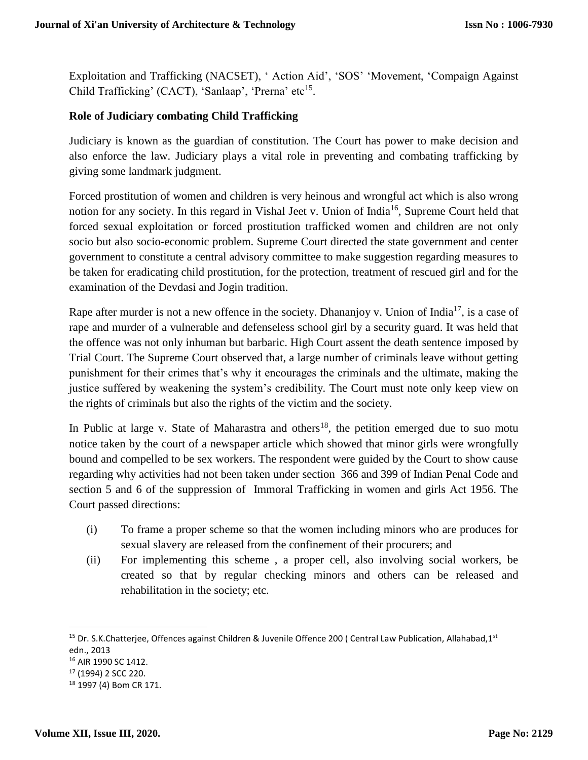Exploitation and Trafficking (NACSET), ' Action Aid', 'SOS' 'Movement, 'Compaign Against Child Trafficking' (CACT), 'Sanlaap', 'Prerna' etc<sup>15</sup>.

### **Role of Judiciary combating Child Trafficking**

Judiciary is known as the guardian of constitution. The Court has power to make decision and also enforce the law. Judiciary plays a vital role in preventing and combating trafficking by giving some landmark judgment.

Forced prostitution of women and children is very heinous and wrongful act which is also wrong notion for any society. In this regard in Vishal Jeet v. Union of India<sup>16</sup>, Supreme Court held that forced sexual exploitation or forced prostitution trafficked women and children are not only socio but also socio-economic problem. Supreme Court directed the state government and center government to constitute a central advisory committee to make suggestion regarding measures to be taken for eradicating child prostitution, for the protection, treatment of rescued girl and for the examination of the Devdasi and Jogin tradition.

Rape after murder is not a new offence in the society. Dhananjoy v. Union of India<sup>17</sup>, is a case of rape and murder of a vulnerable and defenseless school girl by a security guard. It was held that the offence was not only inhuman but barbaric. High Court assent the death sentence imposed by Trial Court. The Supreme Court observed that, a large number of criminals leave without getting punishment for their crimes that's why it encourages the criminals and the ultimate, making the justice suffered by weakening the system's credibility. The Court must note only keep view on the rights of criminals but also the rights of the victim and the society.

In Public at large v. State of Maharastra and others<sup>18</sup>, the petition emerged due to suo motu notice taken by the court of a newspaper article which showed that minor girls were wrongfully bound and compelled to be sex workers. The respondent were guided by the Court to show cause regarding why activities had not been taken under section 366 and 399 of Indian Penal Code and section 5 and 6 of the suppression of Immoral Trafficking in women and girls Act 1956. The Court passed directions:

- (i) To frame a proper scheme so that the women including minors who are produces for sexual slavery are released from the confinement of their procurers; and
- (ii) For implementing this scheme , a proper cell, also involving social workers, be created so that by regular checking minors and others can be released and rehabilitation in the society; etc.

l

<sup>&</sup>lt;sup>15</sup> Dr. S.K.Chatterjee, Offences against Children & Juvenile Offence 200 ( Central Law Publication, Allahabad,1<sup>st</sup> edn., 2013

<sup>16</sup> AIR 1990 SC 1412.

<sup>17</sup> (1994) 2 SCC 220.

<sup>18</sup> 1997 (4) Bom CR 171.